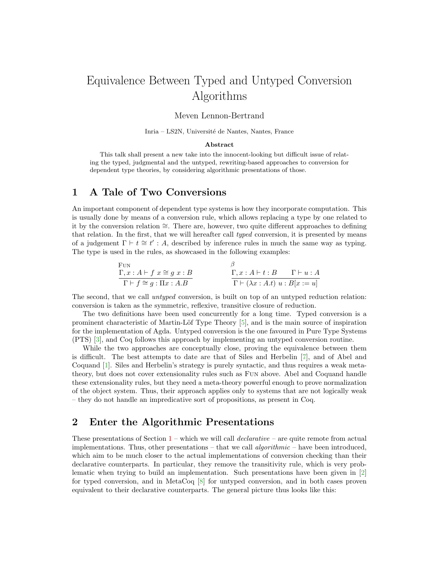# Equivalence Between Typed and Untyped Conversion Algorithms

#### Meven Lennon-Bertrand

Inria – LS2N, Université de Nantes, Nantes, France

#### Abstract

This talk shall present a new take into the innocent-looking but difficult issue of relating the typed, judgmental and the untyped, rewriting-based approaches to conversion for dependent type theories, by considering algorithmic presentations of those.

### <span id="page-0-0"></span>1 A Tale of Two Conversions

An important component of dependent type systems is how they incorporate computation. This is usually done by means of a conversion rule, which allows replacing a type by one related to it by the conversion relation ∼=. There are, however, two quite different approaches to defining that relation. In the first, that we will hereafter call typed conversion, it is presented by means of a judgement  $\Gamma \vdash t \cong t' : A$ , described by inference rules in much the same way as typing. The type is used in the rules, as showcased in the following examples:

$$
\frac{\Gamma_{\text{UN}}}{\Gamma \vdash f \cong g : \Pi x : A.B}
$$
\n
$$
\frac{\beta}{\Gamma \vdash f : A : A \vdash t : B \qquad \Gamma \vdash u : A}
$$
\n
$$
\frac{\Gamma}{\Gamma \vdash (\lambda x : A \vdash t : B \qquad \Gamma \vdash u : A}
$$
\n
$$
\frac{\Gamma}{\Gamma \vdash (\lambda x : A \vdash u : B[x := u]}
$$

The second, that we call *untuped* conversion, is built on top of an untyped reduction relation: conversion is taken as the symmetric, reflexive, transitive closure of reduction.

The two definitions have been used concurrently for a long time. Typed conversion is a prominent characteristic of Martin-Löf Type Theory  $[5]$ , and is the main source of inspiration for the implementation of Agda. Untyped conversion is the one favoured in Pure Type Systems (PTS) [\[3\]](#page-2-1), and Coq follows this approach by implementing an untyped conversion routine.

While the two approaches are conceptually close, proving the equivalence between them is difficult. The best attempts to date are that of Siles and Herbelin [\[7\]](#page-2-2), and of Abel and Coquand [\[1\]](#page-2-3). Siles and Herbelin's strategy is purely syntactic, and thus requires a weak metatheory, but does not cover extensionality rules such as Fun above. Abel and Coquand handle these extensionality rules, but they need a meta-theory powerful enough to prove normalization of the object system. Thus, their approach applies only to systems that are not logically weak – they do not handle an impredicative sort of propositions, as present in Coq.

#### 2 Enter the Algorithmic Presentations

These presentations of Section  $1$  – which we will call *declarative* – are quite remote from actual implementations. Thus, other presentations – that we call *algorithmic* – have been introduced, which aim to be much closer to the actual implementations of conversion checking than their declarative counterparts. In particular, they remove the transitivity rule, which is very problematic when trying to build an implementation. Such presentations have been given in [\[2\]](#page-2-4) for typed conversion, and in MetaCoq [\[8\]](#page-2-5) for untyped conversion, and in both cases proven equivalent to their declarative counterparts. The general picture thus looks like this: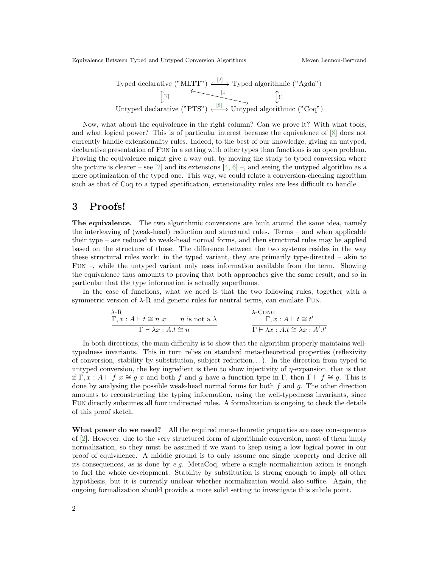Typed declarative ("MLTT") 
$$
\xleftarrow{[2]}
$$

\nTyped algebraic ("Agda")

\nIntyped declarative ("PTS")  $\xleftarrow{[8]}$ 

\nIntyped algebraic ("Cog")

Now, what about the equivalence in the right column? Can we prove it? With what tools, and what logical power? This is of particular interest because the equivalence of [\[8\]](#page-2-5) does not currently handle extensionality rules. Indeed, to the best of our knowledge, giving an untyped, declarative presentation of FUN in a setting with other types than functions is an open problem. Proving the equivalence might give a way out, by moving the study to typed conversion where the picture is clearer – see [\[2\]](#page-2-4) and its extensions  $[4, 6]$  $[4, 6]$  –, and seeing the untyped algorithm as a mere optimization of the typed one. This way, we could relate a conversion-checking algorithm such as that of Coq to a typed specification, extensionality rules are less difficult to handle.

#### 3 Proofs!

The equivalence. The two algorithmic conversions are built around the same idea, namely the interleaving of (weak-head) reduction and structural rules. Terms – and when applicable their type – are reduced to weak-head normal forms, and then structural rules may be applied based on the structure of those. The difference between the two systems resides in the way these structural rules work: in the typed variant, they are primarily type-directed – akin to Fun –, while the untyped variant only uses information available from the term. Showing the equivalence thus amounts to proving that both approaches give the same result, and so in particular that the type information is actually superfluous.

In the case of functions, what we need is that the two following rules, together with a symmetric version of  $\lambda$ -R and generic rules for neutral terms, can emulate FUN.

$$
\lambda - R
$$
\n
$$
\Gamma, x : A \vdash t \cong n \ x \qquad n \text{ is not a } \lambda
$$
\n
$$
\Gamma \vdash \lambda x : A.t \cong n
$$
\n
$$
\lambda \text{-} \text{Cone}
$$
\n
$$
\Gamma, x : A \vdash t \cong t'
$$
\n
$$
\Gamma \vdash \lambda x : A.t \cong \lambda x : A'.t'
$$

In both directions, the main difficulty is to show that the algorithm properly maintains welltypedness invariants. This in turn relies on standard meta-theoretical properties (reflexivity of conversion, stability by substitution, subject reduction. . . ). In the direction from typed to untyped conversion, the key ingredient is then to show injectivity of  $\eta$ -expansion, that is that if  $\Gamma, x : A \vdash f x \cong g x$  and both f and g have a function type in  $\Gamma$ , then  $\Gamma \vdash f \cong g$ . This is done by analysing the possible weak-head normal forms for both  $f$  and  $g$ . The other direction amounts to reconstructing the typing information, using the well-typedness invariants, since Fun directly subsumes all four undirected rules. A formalization is ongoing to check the details of this proof sketch.

What power do we need? All the required meta-theoretic properties are easy consequences of [\[2\]](#page-2-4). However, due to the very structured form of algorithmic conversion, most of them imply normalization, so they must be assumed if we want to keep using a low logical power in our proof of equivalence. A middle ground is to only assume one single property and derive all its consequences, as is done by  $e.g.$  MetaCoq, where a single normalization axiom is enough to fuel the whole development. Stability by substitution is strong enough to imply all other hypothesis, but it is currently unclear whether normalization would also suffice. Again, the ongoing formalization should provide a more solid setting to investigate this subtle point.